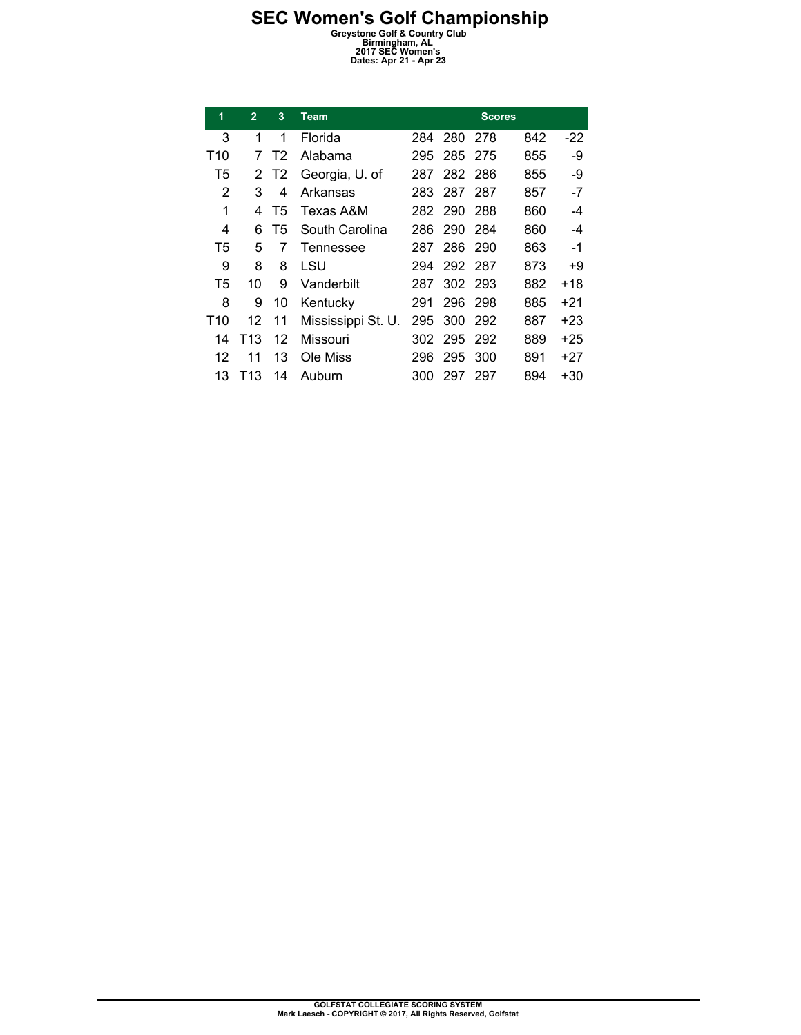| 1              | $\overline{2}$ | 3              | <b>Team</b>        |     |         | <b>Scores</b> |     |       |
|----------------|----------------|----------------|--------------------|-----|---------|---------------|-----|-------|
| 3              | 1              | 1              | Florida            | 284 | 280     | 278           | 842 | $-22$ |
| T10            | 7              | T <sub>2</sub> | Alabama            | 295 | 285     | 275           | 855 | -9    |
| T5             | 2              | T <sub>2</sub> | Georgia, U. of     | 287 | 282     | 286           | 855 | -9    |
| 2              | 3              | 4              | Arkansas           | 283 | 287     | 287           | 857 | -7    |
| 1              | 4              | T5             | Texas A&M          | 282 | 290     | 288           | 860 | -4    |
| 4              | 6              | T5             | South Carolina     | 286 | 290     | -284          | 860 | -4    |
| T5             | 5              | 7              | Tennessee          | 287 | 286     | 290           | 863 | -1    |
| 9              | 8              | 8              | LSU                | 294 | 292 287 |               | 873 | +9    |
| T <sub>5</sub> | 10             | 9              | Vanderbilt         | 287 | 302     | -293          | 882 | +18   |
| 8              | 9              | 10             | Kentucky           | 291 | 296     | 298           | 885 | +21   |
| T10            | 12             | 11             | Mississippi St. U. | 295 | 300     | 292           | 887 | +23   |
| 14             | T13            | 12             | Missouri           | 302 | 295     | 292           | 889 | +25   |
| 12             | 11             | 13             | Ole Miss           | 296 | 295     | 300           | 891 | +27   |
| 13             | T13            | 14             | Auburn             | 300 | 297     | 297           | 894 | +30   |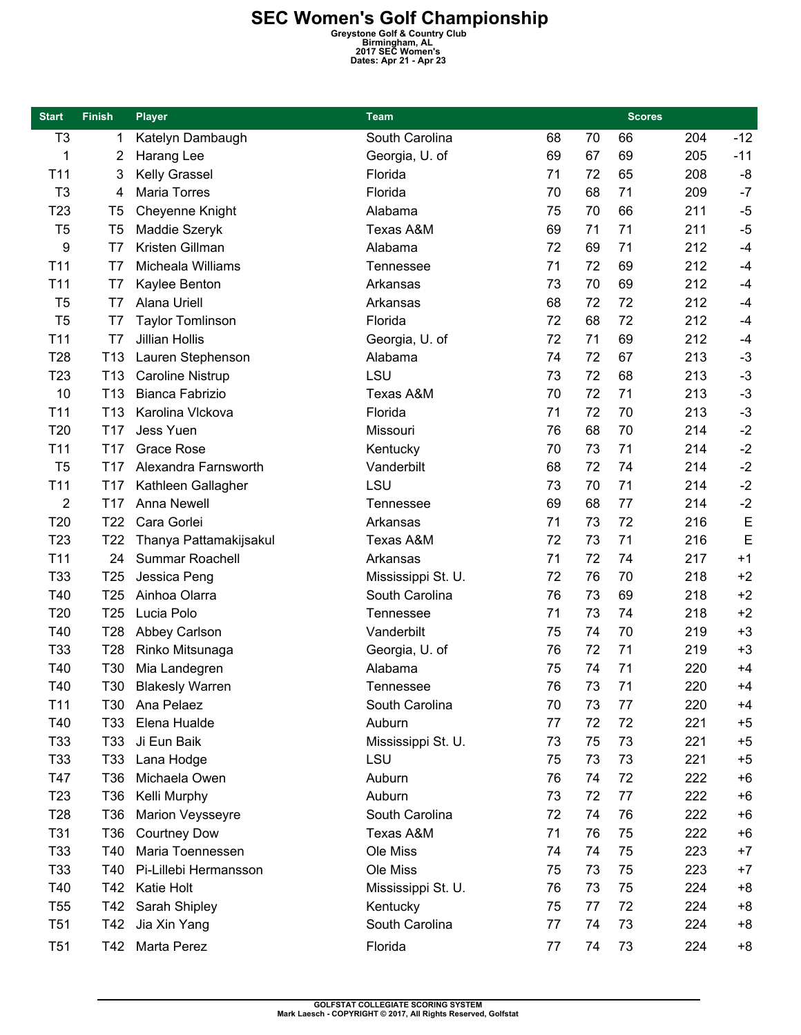| <b>Start</b>    | <b>Finish</b>   | <b>Player</b>           | Team               |    |    | <b>Scores</b> |     |       |
|-----------------|-----------------|-------------------------|--------------------|----|----|---------------|-----|-------|
| T <sub>3</sub>  | 1               | Katelyn Dambaugh        | South Carolina     | 68 | 70 | 66            | 204 | $-12$ |
| 1               | 2               | Harang Lee              | Georgia, U. of     | 69 | 67 | 69            | 205 | $-11$ |
| T <sub>11</sub> | 3               | Kelly Grassel           | Florida            | 71 | 72 | 65            | 208 | $-8$  |
| T <sub>3</sub>  | 4               | <b>Maria Torres</b>     | Florida            | 70 | 68 | 71            | 209 | $-7$  |
| T <sub>23</sub> | T <sub>5</sub>  | Cheyenne Knight         | Alabama            | 75 | 70 | 66            | 211 | $-5$  |
| T <sub>5</sub>  | T <sub>5</sub>  | Maddie Szeryk           | Texas A&M          | 69 | 71 | 71            | 211 | $-5$  |
| 9               | T7              | Kristen Gillman         | Alabama            | 72 | 69 | 71            | 212 | $-4$  |
| T <sub>11</sub> | T7              | Micheala Williams       | <b>Tennessee</b>   | 71 | 72 | 69            | 212 | $-4$  |
| T <sub>11</sub> | T7              | Kaylee Benton           | Arkansas           | 73 | 70 | 69            | 212 | $-4$  |
| T <sub>5</sub>  | T7              | Alana Uriell            | Arkansas           | 68 | 72 | 72            | 212 | $-4$  |
| T <sub>5</sub>  | T7              | <b>Taylor Tomlinson</b> | Florida            | 72 | 68 | 72            | 212 | $-4$  |
| T <sub>11</sub> | T7              | <b>Jillian Hollis</b>   | Georgia, U. of     | 72 | 71 | 69            | 212 | $-4$  |
| T <sub>28</sub> | T <sub>13</sub> | Lauren Stephenson       | Alabama            | 74 | 72 | 67            | 213 | $-3$  |
| T <sub>23</sub> | T <sub>13</sub> | <b>Caroline Nistrup</b> | LSU                | 73 | 72 | 68            | 213 | $-3$  |
| 10              | T <sub>13</sub> | Bianca Fabrizio         | Texas A&M          | 70 | 72 | 71            | 213 | $-3$  |
| T <sub>11</sub> | T <sub>13</sub> | Karolina Vlckova        | Florida            | 71 | 72 | 70            | 213 | $-3$  |
| T20             | T17             | Jess Yuen               | Missouri           | 76 | 68 | 70            | 214 | $-2$  |
| T <sub>11</sub> | T <sub>17</sub> | <b>Grace Rose</b>       | Kentucky           | 70 | 73 | 71            | 214 | $-2$  |
| T <sub>5</sub>  | T <sub>17</sub> | Alexandra Farnsworth    | Vanderbilt         | 68 | 72 | 74            | 214 | $-2$  |
| T11             | T <sub>17</sub> | Kathleen Gallagher      | LSU                | 73 | 70 | 71            | 214 | $-2$  |
| 2               | T <sub>17</sub> | Anna Newell             | <b>Tennessee</b>   | 69 | 68 | 77            | 214 | $-2$  |
| T20             | T <sub>22</sub> | Cara Gorlei             | Arkansas           | 71 | 73 | 72            | 216 | E     |
| T <sub>23</sub> | T <sub>22</sub> | Thanya Pattamakijsakul  | Texas A&M          | 72 | 73 | 71            | 216 | E     |
| T11             | 24              | <b>Summar Roachell</b>  | Arkansas           | 71 | 72 | 74            | 217 | $+1$  |
| T33             | T <sub>25</sub> | Jessica Peng            | Mississippi St. U. | 72 | 76 | 70            | 218 | $+2$  |
| T40             | T <sub>25</sub> | Ainhoa Olarra           | South Carolina     | 76 | 73 | 69            | 218 | $+2$  |
| T <sub>20</sub> | T <sub>25</sub> | Lucia Polo              | Tennessee          | 71 | 73 | 74            | 218 | $+2$  |
| T40             | T <sub>28</sub> | Abbey Carlson           | Vanderbilt         | 75 | 74 | 70            | 219 | $+3$  |
| T33             | T <sub>28</sub> | Rinko Mitsunaga         | Georgia, U. of     | 76 | 72 | 71            | 219 | $+3$  |
| T40             | T30             | Mia Landegren           | Alabama            | 75 | 74 | 71            | 220 | $+4$  |
| T40             | T30             | <b>Blakesly Warren</b>  | Tennessee          | 76 | 73 | 71            | 220 | $+4$  |
| T <sub>11</sub> | T30             | Ana Pelaez              | South Carolina     | 70 | 73 | 77            | 220 | $+4$  |
| T40             | T <sub>33</sub> | Elena Hualde            | Auburn             | 77 | 72 | 72            | 221 | $+5$  |
| T33             | T33             | Ji Eun Baik             | Mississippi St. U. | 73 | 75 | 73            | 221 | $+5$  |
| T33             | T <sub>33</sub> | Lana Hodge              | LSU                | 75 | 73 | 73            | 221 | $+5$  |
| T47             | T36             | Michaela Owen           | Auburn             | 76 | 74 | 72            | 222 | $+6$  |
| T <sub>23</sub> | T36             | Kelli Murphy            | Auburn             | 73 | 72 | 77            | 222 | $+6$  |
| T <sub>28</sub> | T <sub>36</sub> | <b>Marion Veysseyre</b> | South Carolina     | 72 | 74 | 76            | 222 | $+6$  |
| T31             | T <sub>36</sub> | <b>Courtney Dow</b>     | Texas A&M          | 71 | 76 | 75            | 222 | $+6$  |
| T33             | T40             | Maria Toennessen        | Ole Miss           | 74 | 74 | 75            | 223 | $+7$  |
| T33             | T40             | Pi-Lillebi Hermansson   | Ole Miss           | 75 | 73 | 75            | 223 | $+7$  |
| T40             | T42             | Katie Holt              | Mississippi St. U. | 76 | 73 | 75            | 224 | $+8$  |
| T <sub>55</sub> | T42             | Sarah Shipley           | Kentucky           | 75 | 77 | 72            | 224 | $+8$  |
| T <sub>51</sub> | T42             | Jia Xin Yang            | South Carolina     | 77 | 74 | 73            | 224 | $+8$  |
| T <sub>51</sub> | T42             | Marta Perez             | Florida            | 77 | 74 | 73            | 224 | $+8$  |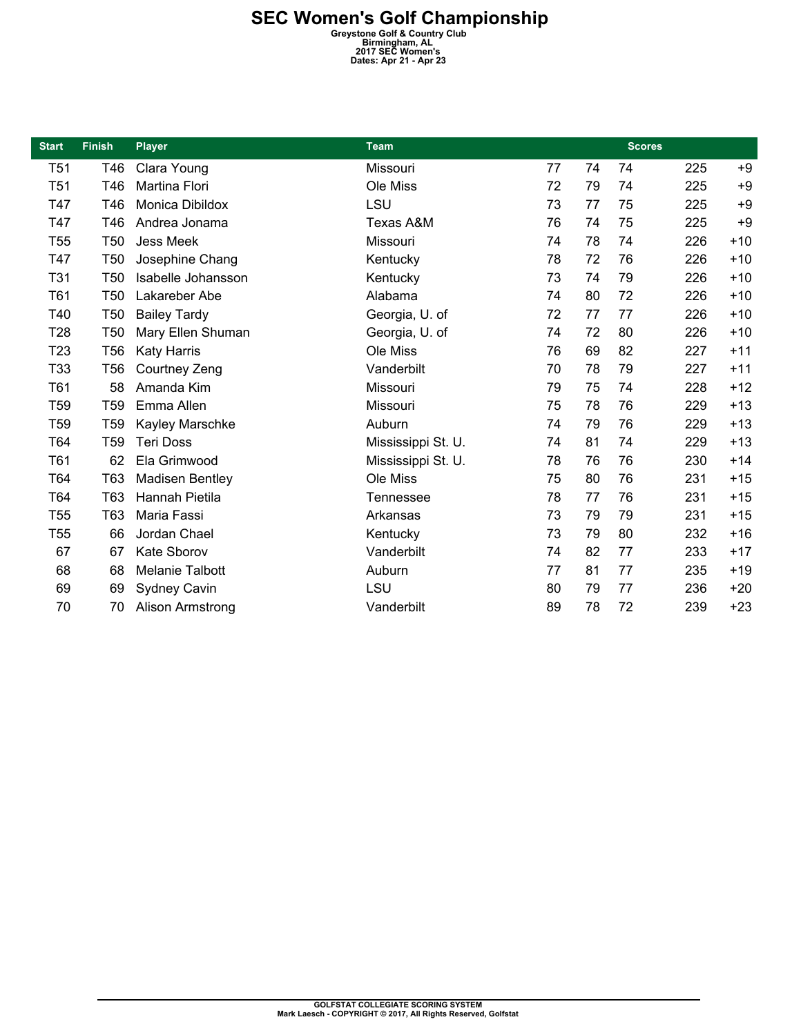| <b>Start</b>    | <b>Finish</b>   | <b>Player</b>          | <b>Team</b>        |    |    | <b>Scores</b> |     |       |
|-----------------|-----------------|------------------------|--------------------|----|----|---------------|-----|-------|
| T <sub>51</sub> | T46             | Clara Young            | Missouri           | 77 | 74 | 74            | 225 | $+9$  |
| T <sub>51</sub> | T46             | Martina Flori          | Ole Miss           | 72 | 79 | 74            | 225 | $+9$  |
| T47             | T46             | Monica Dibildox        | LSU                | 73 | 77 | 75            | 225 | $+9$  |
| T47             | T46             | Andrea Jonama          | Texas A&M          | 76 | 74 | 75            | 225 | $+9$  |
| T <sub>55</sub> | T <sub>50</sub> | <b>Jess Meek</b>       | Missouri           | 74 | 78 | 74            | 226 | $+10$ |
| T47             | T <sub>50</sub> | Josephine Chang        | Kentucky           | 78 | 72 | 76            | 226 | $+10$ |
| T31             | T <sub>50</sub> | Isabelle Johansson     | Kentucky           | 73 | 74 | 79            | 226 | $+10$ |
| T61             | <b>T50</b>      | Lakareber Abe          | Alabama            | 74 | 80 | 72            | 226 | $+10$ |
| T40             | <b>T50</b>      | <b>Bailey Tardy</b>    | Georgia, U. of     | 72 | 77 | 77            | 226 | $+10$ |
| T <sub>28</sub> | T <sub>50</sub> | Mary Ellen Shuman      | Georgia, U. of     | 74 | 72 | 80            | 226 | $+10$ |
| T <sub>23</sub> | <b>T56</b>      | <b>Katy Harris</b>     | Ole Miss           | 76 | 69 | 82            | 227 | $+11$ |
| T33             | <b>T56</b>      | Courtney Zeng          | Vanderbilt         | 70 | 78 | 79            | 227 | $+11$ |
| T61             | 58              | Amanda Kim             | Missouri           | 79 | 75 | 74            | 228 | $+12$ |
| T <sub>59</sub> | T <sub>59</sub> | Emma Allen             | Missouri           | 75 | 78 | 76            | 229 | $+13$ |
| T <sub>59</sub> | T <sub>59</sub> | Kayley Marschke        | Auburn             | 74 | 79 | 76            | 229 | $+13$ |
| T64             | T <sub>59</sub> | <b>Teri Doss</b>       | Mississippi St. U. | 74 | 81 | 74            | 229 | $+13$ |
| T61             | 62              | Ela Grimwood           | Mississippi St. U. | 78 | 76 | 76            | 230 | $+14$ |
| T64             | T63             | <b>Madisen Bentley</b> | Ole Miss           | 75 | 80 | 76            | 231 | $+15$ |
| T64             | T63             | Hannah Pietila         | <b>Tennessee</b>   | 78 | 77 | 76            | 231 | $+15$ |
| T <sub>55</sub> | T63             | Maria Fassi            | Arkansas           | 73 | 79 | 79            | 231 | $+15$ |
| T <sub>55</sub> | 66              | Jordan Chael           | Kentucky           | 73 | 79 | 80            | 232 | $+16$ |
| 67              | 67              | <b>Kate Sborov</b>     | Vanderbilt         | 74 | 82 | 77            | 233 | $+17$ |
| 68              | 68              | <b>Melanie Talbott</b> | Auburn             | 77 | 81 | 77            | 235 | $+19$ |
| 69              | 69              | <b>Sydney Cavin</b>    | LSU                | 80 | 79 | 77            | 236 | $+20$ |
| 70              | 70              | Alison Armstrong       | Vanderbilt         | 89 | 78 | 72            | 239 | $+23$ |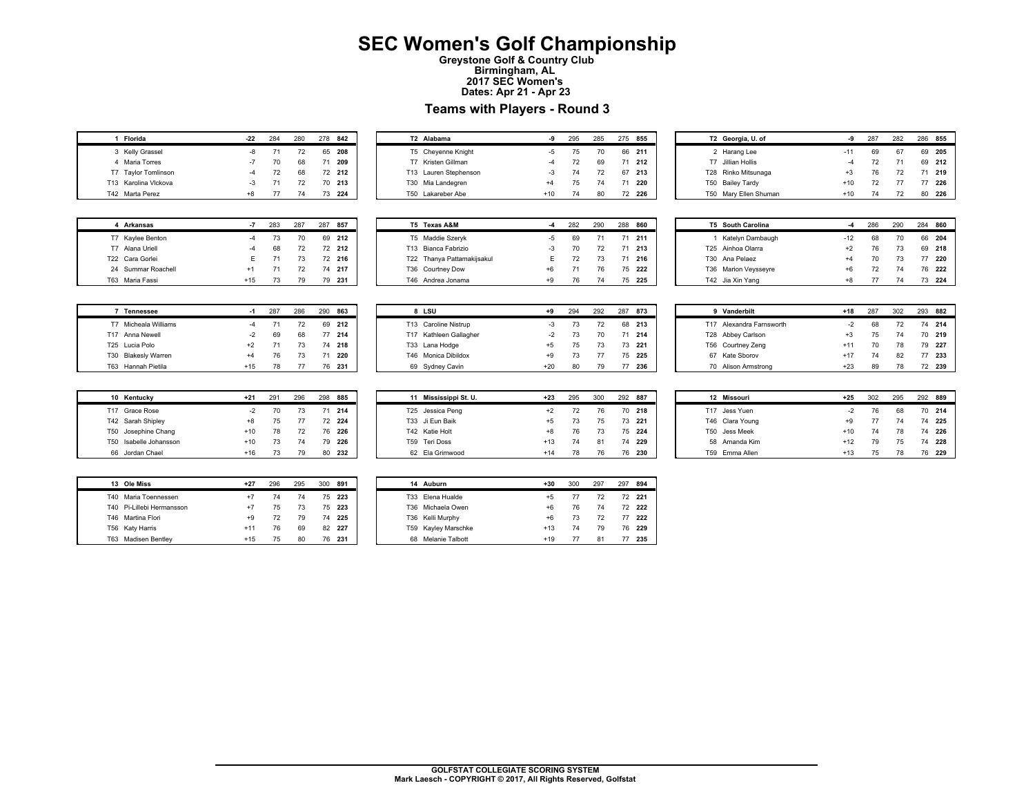### **SEC Women's Golf Championship**

**Greystone Golf & Country Club Birmingham, AL 2017 SEC Women's Dates: Apr 21 - Apr 23** 

#### **Teams with Players - Round 3**

| 1 | Florida              | $-22$ | 284 | 280 | 278 | 842    |
|---|----------------------|-------|-----|-----|-----|--------|
|   | 3 Kelly Grassel      | -8    | 71  | 72  |     | 65 208 |
| 4 | Maria Torres         | $-7$  | 70  | 68  | 71  | 209    |
|   | T7 Taylor Tomlinson  | $-4$  | 72  | 68  |     | 72 212 |
|   | T13 Karolina Vlckova | $-3$  | 71  | 72  |     | 70 213 |
|   | T42 Marta Perez      | $+8$  | 77  | 74  | 73  | 224    |

| Т2  | Alabama               | -9    | 295 | 285 | 275 | 855    |  |
|-----|-----------------------|-------|-----|-----|-----|--------|--|
|     | T5 Cheyenne Knight    | -5    | 75  | 70  |     | 66 211 |  |
| т7  | Kristen Gillman       | $-4$  | 72  | 69  | 71  | 212    |  |
|     | T13 Lauren Stephenson | $-3$  | 74  | 72  | 67  | 213    |  |
| T30 | Mia Landegren         | $+4$  | 75  | 74  | 71  | 220    |  |
| T50 | Lakareber Abe         | $+10$ | 74  | 80  | 72  | 226    |  |

|     | T2 Georgia, U. of   | -9    | 287 | 282 | 286 | 855 |
|-----|---------------------|-------|-----|-----|-----|-----|
|     | 2 Harang Lee        | $-11$ | 69  | 67  | 69  | 205 |
| Τ7  | Jillian Hollis      | $-4$  | 72  | 71  | 69  | 212 |
|     | T28 Rinko Mitsunaga | $+3$  | 76  | 72  | 71  | 219 |
| T50 | <b>Bailey Tardy</b> | $+10$ | 72  | 77  | 77  | 226 |
| T50 | Mary Ellen Shuman   | $+10$ | 74  | 72  | 80  | 226 |

| 4   | <b>Arkansas</b>    | -7    | 283 | 287 | 287 | 857    |
|-----|--------------------|-------|-----|-----|-----|--------|
|     | T7 Kaylee Benton   |       | 73  | 70  |     | 69 212 |
| T7  | Alana Uriell       |       | 68  | 72  |     | 72 212 |
|     | T22 Cara Gorlei    | F     | 71  | 73  |     | 72 216 |
|     | 24 Summar Roachell | $+1$  | 71  | 72  | 74  | 217    |
| T63 | Maria Fassi        | $+15$ | 73  | 79  | 79  | 231    |

|     | Tennessee                  | -1    | 287 | 286 | 290 | 863    |
|-----|----------------------------|-------|-----|-----|-----|--------|
| T7  | Micheala Williams          |       | 71  | 72  | 69  | 212    |
|     | T17 Anna Newell            | $-2$  | 69  | 68  | 77  | 214    |
|     | T <sub>25</sub> Lucia Polo | $+2$  | 71  | 73  |     | 74 218 |
| T30 | <b>Blakesly Warren</b>     | $+4$  | 76  | 73  | 71  | 220    |
| F63 | Hannah Pietila             | $+15$ | 78  | 77  | 76  | 231    |

| 10   | Kentucky            | $+21$ | 291 | 296 | 298 | 885 |
|------|---------------------|-------|-----|-----|-----|-----|
| T17  | Grace Rose          | $-2$  | 70  | 73  | 71  | 214 |
|      | T42 Sarah Shipley   | $+8$  | 75  | 77  | 72  | 224 |
|      | T50 Josephine Chang | $+10$ | 78  | 72  | 76  | 226 |
| T50. | Isabelle Johansson  | $+10$ | 73  | 74  | 79  | 226 |
| 66   | Jordan Chael        | $+16$ | 73  | 79  | 80  | 232 |

| 13 | Ole Miss                  | $+27$ | 296 | 295 | 300 | 891    |
|----|---------------------------|-------|-----|-----|-----|--------|
|    | T40 Maria Toennessen      | $+7$  | 74  | 74  |     | 75 223 |
|    | T40 Pi-Lillebi Hermansson | $+7$  | 75  | 73  |     | 75 223 |
|    | T46 Martina Flori         | $+9$  | 72  | 79  |     | 74 225 |
|    | T56 Katy Harris           | $+11$ | 76  | 69  |     | 82 227 |
|    | T63 Madisen Bentley       | $+15$ | 75  | 80  | 76  | 231    |

| Т5   | <b>Texas A&amp;M</b>       | -4   | 282 | 290 | 288 | 860 |
|------|----------------------------|------|-----|-----|-----|-----|
|      | T5 Maddie Szeryk           | -5   | 69  | 71  |     | 211 |
| T13  | Bianca Fabrizio            | -3   | 70  | 72  |     | 213 |
|      | T22 Thanya Pattamakijsakul | F    | 72  | 73  | 71  | 216 |
| T36  | Courtney Dow               | $+6$ | 71  | 76  | 75  | 222 |
| T46. | Andrea Jonama              | $+9$ | 76  | 74  | 75  | 225 |
|      |                            |      |     |     |     |     |

| 8    | LSU                    | +9    | 294 | 292 | 287 | 873 |
|------|------------------------|-------|-----|-----|-----|-----|
|      | T13 Caroline Nistrup   | -3    | 73  | 72  | 68  | 213 |
|      | T17 Kathleen Gallagher | $-2$  | 73  | 70  | 71  | 214 |
| T33  | Lana Hodge             | $+5$  | 75  | 73  | 73  | 221 |
| T46. | Monica Dibildox        | $+9$  | 73  | 77  | 75  | 225 |
| 69   | Sydney Cavin           | $+20$ | 80  | 79  |     | 236 |

| 11   | Mississippi St. U. | $+23$ | 295 | 300 | 292 | 887    |
|------|--------------------|-------|-----|-----|-----|--------|
|      | T25 Jessica Peng   | $+2$  | 72  | 76  | 70. | 218    |
|      | T33 Ji Fun Baik    | $+5$  | 73  | 75  |     | 73 221 |
|      | T42 Katie Holt     | $+8$  | 76  | 73  |     | 75 224 |
| T59. | Teri Doss          | $+13$ | 74  | 81  | 74  | 229    |
|      | 62 Fla Grimwood    | $+14$ | 78  | 76  | 76  | 230    |

| T5. | <b>South Carolina</b> |       | 286 | 290 | 284 | 860 |
|-----|-----------------------|-------|-----|-----|-----|-----|
|     | 1 Katelyn Dambaugh    | $-12$ | 68  | 70  | 66  | 204 |
|     | T25 Ainhoa Olarra     | $+2$  | 76  | 73  | 69  | 218 |
|     | T30 Ana Pelaez        | $+4$  | 70  | 73  | 77  | 220 |
|     | T36 Marion Veysseyre  | $+6$  | 72  | 74  | 76. | 222 |
|     | T42 Jia Xin Yang      | $+8$  | 77  | 74  |     | 224 |

| 9    | Vanderbilt           | $+18$ | 287 | 302 | 293 | 882 |
|------|----------------------|-------|-----|-----|-----|-----|
| T17  | Alexandra Farnsworth | $-2$  | 68  | 72  | 74  | 214 |
| T28  | Abbey Carlson        | $+3$  | 75  | 74  | 70  | 219 |
| T56. | Courtney Zeng        | $+11$ | 70  | 78  | 79  | 227 |
|      | Kate Shorov          | $+17$ | 74  | 82  |     | 233 |
| 70   | Alison Armstrong     | $+23$ | 89  | 78  |     | 239 |

| 12  | <b>Missouri</b> | $+25$ | 302 | 295 | 292 | 889 |
|-----|-----------------|-------|-----|-----|-----|-----|
| T17 | Jess Yuen       | $-2$  | 76  | 68  | 70  | 214 |
|     | T46 Clara Young | $+9$  | 77  | 74  | 74  | 225 |
| T50 | Jess Meek       | $+10$ | 74  | 78  | 74  | 226 |
| 58  | Amanda Kim      | $+12$ | 79  | 75  | 74  | 228 |
| T59 | Emma Allen      | $+13$ | 75  | 78  | 76  | 229 |

|     | 14 Auburn           | $+30$ | 300 | 297 | 297 | 894    |
|-----|---------------------|-------|-----|-----|-----|--------|
|     | T33 Elena Hualde    | $+5$  | 77  | 72  | 72  | 221    |
| T36 | Michaela Owen       | $+6$  | 76  | 74  |     | 72 222 |
|     | T36 Kelli Murphy    | $+6$  | 73  | 72  | 77  | 222    |
|     | T59 Kayley Marschke | $+13$ | 74  | 79  | 76  | 229    |
| 68  | Melanie Talbott     | $+19$ | 77  | 81  |     | 235    |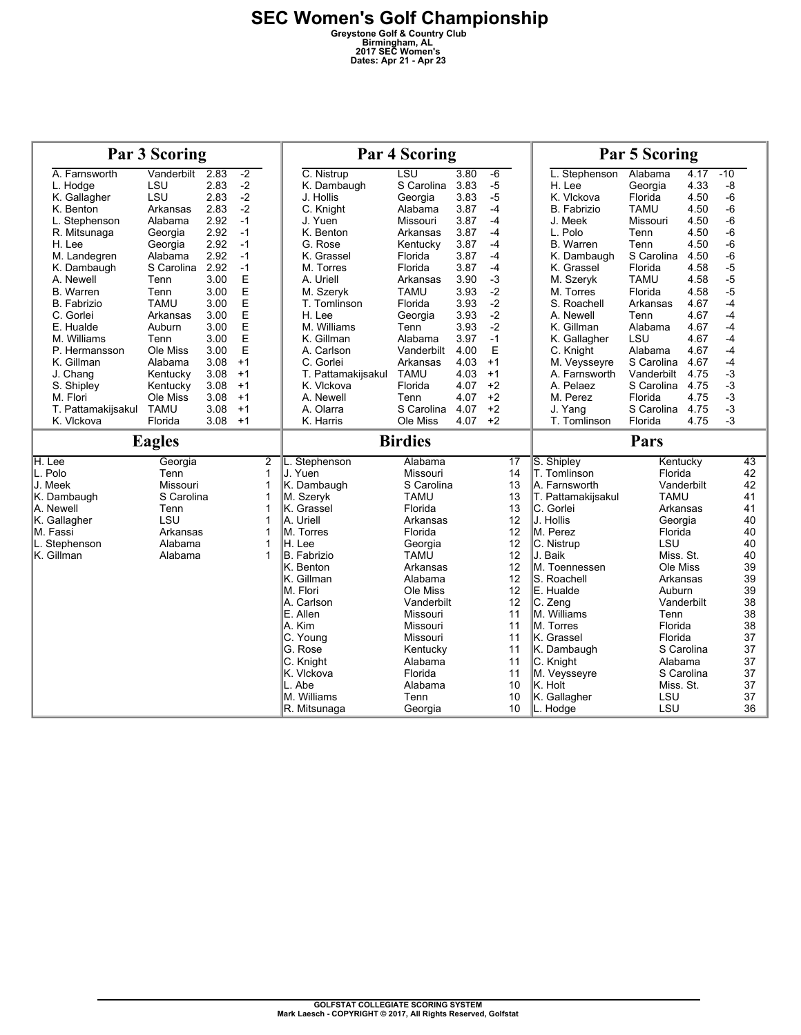|                    | <b>Par 3 Scoring</b> |      |      |   |                             | <b>Par 4 Scoring</b> |      | <b>Par 5 Scoring</b> |                          |             |            |          |
|--------------------|----------------------|------|------|---|-----------------------------|----------------------|------|----------------------|--------------------------|-------------|------------|----------|
| A. Farnsworth      | Vanderbilt           | 2.83 | $-2$ |   | C. Nistrup                  | $\overline{LSU}$     | 3.80 | $-6$                 | L. Stephenson            | Alabama     | 4.17       | $-10$    |
| L. Hodge           | LSU                  | 2.83 | $-2$ |   | K. Dambaugh                 | S Carolina           | 3.83 | $-5$                 | H. Lee                   | Georgia     | 4.33       | $-8$     |
| K. Gallagher       | LSU                  | 2.83 | $-2$ |   | J. Hollis                   | Georgia              | 3.83 | $-5$                 | K. Vlckova               | Florida     | 4.50       | $-6$     |
| K. Benton          | Arkansas             | 2.83 | $-2$ |   | C. Knight                   | Alabama              | 3.87 | $-4$                 | <b>B.</b> Fabrizio       | TAMU        | 4.50       | $-6$     |
| L. Stephenson      | Alabama              | 2.92 | $-1$ |   | J. Yuen                     | Missouri             | 3.87 | $-4$                 | J. Meek                  | Missouri    | 4.50       | $-6$     |
| R. Mitsunaga       | Georgia              | 2.92 | $-1$ |   | K. Benton                   | Arkansas             | 3.87 | $-4$                 | L. Polo                  | Tenn        | 4.50       | $-6$     |
| H. Lee             | Georgia              | 2.92 | $-1$ |   | G. Rose                     | Kentucky             | 3.87 | $-4$                 | <b>B.</b> Warren         | Tenn        | 4.50       | $-6$     |
| M. Landegren       | Alabama              | 2.92 | $-1$ |   | K. Grassel                  | Florida              | 3.87 | $-4$                 | K. Dambaugh              | S Carolina  | 4.50       | $-6$     |
| K. Dambaugh        | S Carolina           | 2.92 | $-1$ |   | M. Torres                   | Florida              | 3.87 | $-4$                 | K. Grassel               | Florida     | 4.58       | $-5$     |
| A. Newell          | Tenn                 | 3.00 | E    |   | A. Uriell                   | Arkansas             | 3.90 | $-3$                 | M. Szeryk                | <b>TAMU</b> | 4.58       | $-5$     |
| <b>B.</b> Warren   | Tenn                 | 3.00 | E    |   | M. Szeryk                   | <b>TAMU</b>          | 3.93 | $-2$                 | M. Torres                | Florida     | 4.58       | $-5$     |
| <b>B.</b> Fabrizio | <b>TAMU</b>          | 3.00 | E    |   | T. Tomlinson                | Florida              | 3.93 | $-2$                 | S. Roachell              | Arkansas    | 4.67       | $-4$     |
| C. Gorlei          | Arkansas             | 3.00 | E    |   | H. Lee                      | Georgia              | 3.93 | $-2$                 | A. Newell                | Tenn        | 4.67       | $-4$     |
| E. Hualde          | Auburn               | 3.00 | E    |   | M. Williams                 | Tenn                 | 3.93 | $-2$                 | K. Gillman               | Alabama     | 4.67       | $-4$     |
| M. Williams        | Tenn                 | 3.00 | E    |   | K. Gillman                  | Alabama              | 3.97 | $-1$                 | K. Gallagher             | LSU         | 4.67       | $-4$     |
| P. Hermansson      | Ole Miss             | 3.00 | E    |   | A. Carlson                  | Vanderbilt           | 4.00 | E                    | C. Knight                | Alabama     | 4.67       | $-4$     |
| K. Gillman         | Alabama              | 3.08 | $+1$ |   | C. Gorlei                   | Arkansas             | 4.03 | $+1$                 | M. Veysseyre             | S Carolina  | 4.67       | $-4$     |
| J. Chang           | Kentucky             | 3.08 | $+1$ |   | T. Pattamakijsakul          | <b>TAMU</b>          | 4.03 | $+1$                 | A. Farnsworth            | Vanderbilt  | 4.75       | $-3$     |
| S. Shipley         | Kentucky             | 3.08 | $+1$ |   | K. Vickova                  | Florida              | 4.07 | $+2$                 | A. Pelaez                | S Carolina  | 4.75       | $-3$     |
| M. Flori           | Ole Miss             | 3.08 | $+1$ |   | A. Newell                   | Tenn                 | 4.07 | $+2$                 | M. Perez                 | Florida     | 4.75       | $-3$     |
| T. Pattamakijsakul | <b>TAMU</b>          | 3.08 | $+1$ |   | A. Olarra                   | S Carolina           | 4.07 | $+2$                 | J. Yang                  | S Carolina  | 4.75       | $-3$     |
| K. Vlckova         | Florida              | 3.08 | $+1$ |   | K. Harris                   | Ole Miss             | 4.07 | $+2$                 | T. Tomlinson             | Florida     | 4.75       | $-3$     |
|                    |                      |      |      |   |                             |                      |      |                      |                          |             |            |          |
|                    | <b>Eagles</b>        |      |      |   |                             | <b>Birdies</b>       |      |                      |                          | Pars        |            |          |
| H. Lee             | Georgia              |      |      | 2 | L. Stephenson               | Alabama              |      | 17                   | S. Shipley               | Kentucky    |            | 43       |
| L. Polo            | Tenn                 |      |      | 1 | J. Yuen                     | Missouri             |      | 14                   | T. Tomlinson             | Florida     |            | 42       |
| J. Meek            | Missouri             |      |      | 1 | K. Dambaugh                 | S Carolina           |      | 13                   | A. Farnsworth            |             | Vanderbilt | 42       |
| K. Dambaugh        | S Carolina           |      |      | 1 | M. Szervk                   | <b>TAMU</b>          |      | 13                   | T. Pattamakijsakul       | <b>TAMU</b> |            | 41       |
| A. Newell          | Tenn                 |      |      | 1 | K. Grassel                  | Florida              |      | 13                   | C. Gorlei                | Arkansas    |            | 41       |
| K. Gallagher       | LSU                  |      |      | 1 | A. Uriell                   | Arkansas             |      | 12                   | J. Hollis                | Georgia     |            | 40       |
| M. Fassi           | Arkansas             |      |      | 1 | M. Torres                   | Florida              |      | 12                   | M. Perez                 | Florida     |            | 40       |
| L. Stephenson      | Alabama              |      |      | 1 | H. Lee                      | Georgia              |      | 12                   | C. Nistrup               | LSU         |            | 40       |
| K. Gillman         | Alabama              |      |      | 1 | <b>B.</b> Fabrizio          | <b>TAMU</b>          |      | 12                   | J. Baik                  | Miss. St.   |            | 40       |
|                    |                      |      |      |   | K. Benton                   | Arkansas             |      | 12                   | M. Toennessen            | Ole Miss    |            | 39       |
|                    |                      |      |      |   | K. Gillman                  | Alabama              |      | 12                   | S. Roachell              | Arkansas    |            | 39       |
|                    |                      |      |      |   | M. Flori                    | Ole Miss             |      | 12                   | E. Hualde                | Auburn      |            | 39       |
|                    |                      |      |      |   | A. Carlson                  | Vanderbilt           |      | 12                   | C. Zeng                  |             | Vanderbilt | 38       |
|                    |                      |      |      |   | E. Allen                    | Missouri             |      | 11                   | M. Williams              | Tenn        |            | 38       |
|                    |                      |      |      |   | A. Kim                      | Missouri             |      | 11                   | M. Torres                | Florida     |            | 38       |
|                    |                      |      |      |   | C. Young                    | Missouri             |      | 11                   | K. Grassel               | Florida     |            | 37       |
|                    |                      |      |      |   | G. Rose                     | Kentucky             |      | 11                   | K. Dambaugh              |             | S Carolina | 37       |
|                    |                      |      |      |   | C. Knight                   | Alabama              |      | 11                   | C. Knight                | Alabama     |            | 37       |
|                    |                      |      |      |   | K. Vlckova                  | Florida              |      | 11                   | M. Veysseyre             |             | S Carolina | 37       |
|                    |                      |      |      |   | L. Abe                      | Alabama              |      | 10                   | K. Holt                  | Miss. St.   |            | 37       |
|                    |                      |      |      |   | M. Williams<br>R. Mitsunaga | Tenn<br>Georgia      |      | 10<br>10             | K. Gallagher<br>L. Hodge | LSU<br>LSU  |            | 37<br>36 |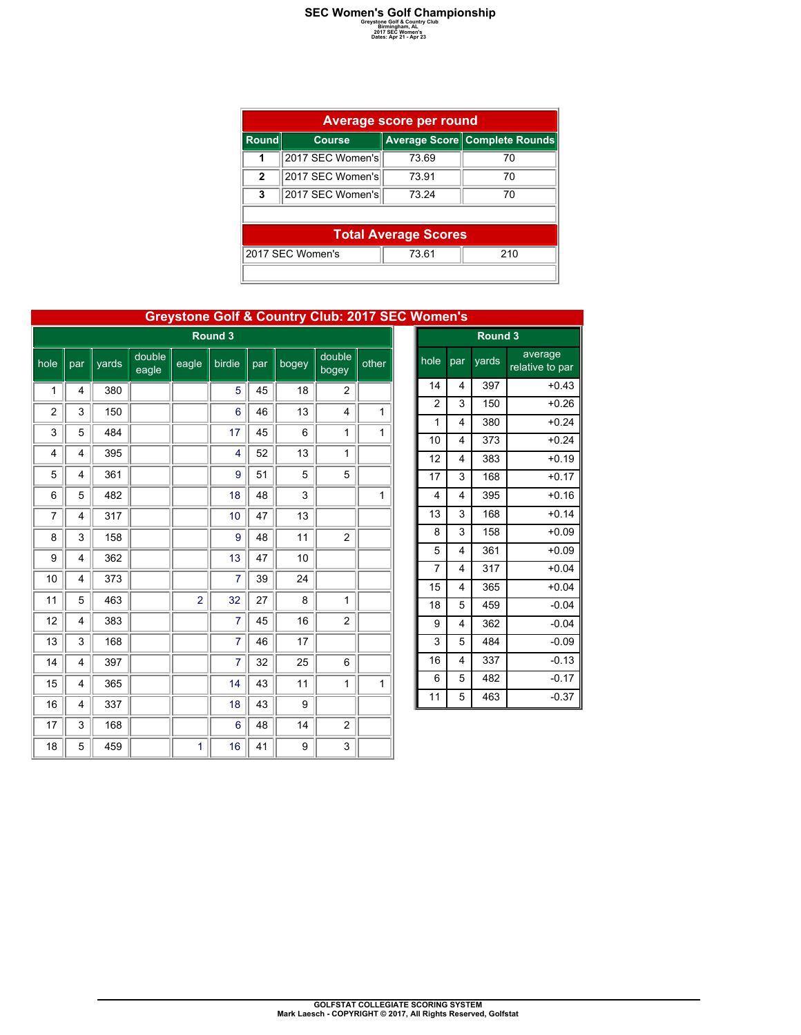### **SEC Women's Golf Championship**<br> **Greystone Golf & Country Club**<br> **2017 SEC Women's**<br> **Dates: Apr 21 - Apr 23**<br>
Dates: Apr 21 - Apr 23

| Average score per round |                                  |                             |                               |  |  |  |  |  |  |  |  |
|-------------------------|----------------------------------|-----------------------------|-------------------------------|--|--|--|--|--|--|--|--|
| <b>Round</b>            | <b>Course</b>                    |                             | Average Score Complete Rounds |  |  |  |  |  |  |  |  |
|                         | 2017 SEC Women's                 | 73.69                       | 70                            |  |  |  |  |  |  |  |  |
| $\mathbf{2}$            | 2017 SEC Women's                 | 73.91                       | 70                            |  |  |  |  |  |  |  |  |
| 3                       | 2017 SEC Women's                 | 73 24                       | 70                            |  |  |  |  |  |  |  |  |
|                         |                                  |                             |                               |  |  |  |  |  |  |  |  |
|                         |                                  | <b>Total Average Scores</b> |                               |  |  |  |  |  |  |  |  |
|                         | 2017 SEC Women's<br>210<br>73.61 |                             |                               |  |  |  |  |  |  |  |  |
|                         |                                  |                             |                               |  |  |  |  |  |  |  |  |

|                |                |       |                 |                |                |     |       | <b>Greystone Golf &amp; Country Club: 2017 SEC Women's</b> |       |                |                         |       |                            |  |
|----------------|----------------|-------|-----------------|----------------|----------------|-----|-------|------------------------------------------------------------|-------|----------------|-------------------------|-------|----------------------------|--|
|                |                |       |                 |                | Round 3        |     |       |                                                            |       | Round 3        |                         |       |                            |  |
| hole           | par            | vards | double<br>eagle | eagle          | birdie         | par | bogey | double<br>bogey                                            | other | hole           | par                     | yards | average<br>relative to par |  |
| 1              | $\overline{4}$ | 380   |                 |                | 5              | 45  | 18    | $\overline{2}$                                             |       | 14             | 4                       | 397   | $+0.43$                    |  |
| $\overline{c}$ | 3              | 150   |                 |                | 6              | 46  | 13    | 4                                                          | 1     | $\overline{2}$ | 3                       | 150   | $+0.26$                    |  |
| 3              | 5              | 484   |                 |                | 17             | 45  | 6     | 1                                                          | 1     | $\mathbf{1}$   | 4                       | 380   | $+0.24$                    |  |
|                |                |       |                 |                |                |     |       |                                                            |       | 10             | $\overline{\mathbf{4}}$ | 373   | $+0.24$                    |  |
| 4              | 4              | 395   |                 |                | 4              | 52  | 13    | $\mathbf{1}$                                               |       | 12             | 4                       | 383   | $+0.19$                    |  |
| 5              | 4              | 361   |                 |                | 9              | 51  | 5     | 5                                                          |       | 17             | 3                       | 168   | $+0.17$                    |  |
| 6              | 5              | 482   |                 |                | 18             | 48  | 3     |                                                            | 1     | $\overline{4}$ | $\overline{\mathbf{4}}$ | 395   | $+0.16$                    |  |
| $\overline{7}$ | 4              | 317   |                 |                | 10             | 47  | 13    |                                                            |       | 13             | 3                       | 168   | $+0.14$                    |  |
| 8              | 3              | 158   |                 |                | 9              | 48  | 11    | $\overline{2}$                                             |       | 8              | 3                       | 158   | $+0.09$                    |  |
| 9              | 4              | 362   |                 |                | 13             | 47  | 10    |                                                            |       | 5              | $\overline{\mathbf{4}}$ | 361   | $+0.09$                    |  |
| 10             | 4              | 373   |                 |                | 7              | 39  | 24    |                                                            |       | $\overline{7}$ | 4                       | 317   | $+0.04$                    |  |
|                |                |       |                 |                |                |     |       |                                                            |       | 15             | $\overline{\mathbf{4}}$ | 365   | $+0.04$                    |  |
| 11             | 5              | 463   |                 | $\overline{2}$ | 32             | 27  | 8     | 1                                                          |       | 18             | 5                       | 459   | $-0.04$                    |  |
| 12             | 4              | 383   |                 |                | 7              | 45  | 16    | 2                                                          |       | 9              | $\overline{\mathbf{4}}$ | 362   | $-0.04$                    |  |
| 13             | 3              | 168   |                 |                | $\overline{7}$ | 46  | 17    |                                                            |       | 3              | 5                       | 484   | $-0.09$                    |  |
| 14             | $\overline{4}$ | 397   |                 |                | 7              | 32  | 25    | 6                                                          |       | 16             | 4                       | 337   | $-0.13$                    |  |
| 15             | $\overline{4}$ | 365   |                 |                | 14             | 43  | 11    | 1                                                          | 1     | 6              | 5                       | 482   | $-0.17$                    |  |
| 16             | 4              | 337   |                 |                | 18             | 43  | 9     |                                                            |       | 11             | 5                       | 463   | $-0.37$                    |  |
| 17             | 3              | 168   |                 |                | 6              | 48  | 14    | $\overline{c}$                                             |       |                |                         |       |                            |  |
| 18             | 5              | 459   |                 | 1              | 16             | 41  | 9     | 3                                                          |       |                |                         |       |                            |  |

| <b>GOLFSTAT COLLEGIATE SCORING SYSTEM</b>                     |
|---------------------------------------------------------------|
|                                                               |
| Mark Laesch - COPYRIGHT © 2017, All Rights Reserved, Golfstat |
|                                                               |
|                                                               |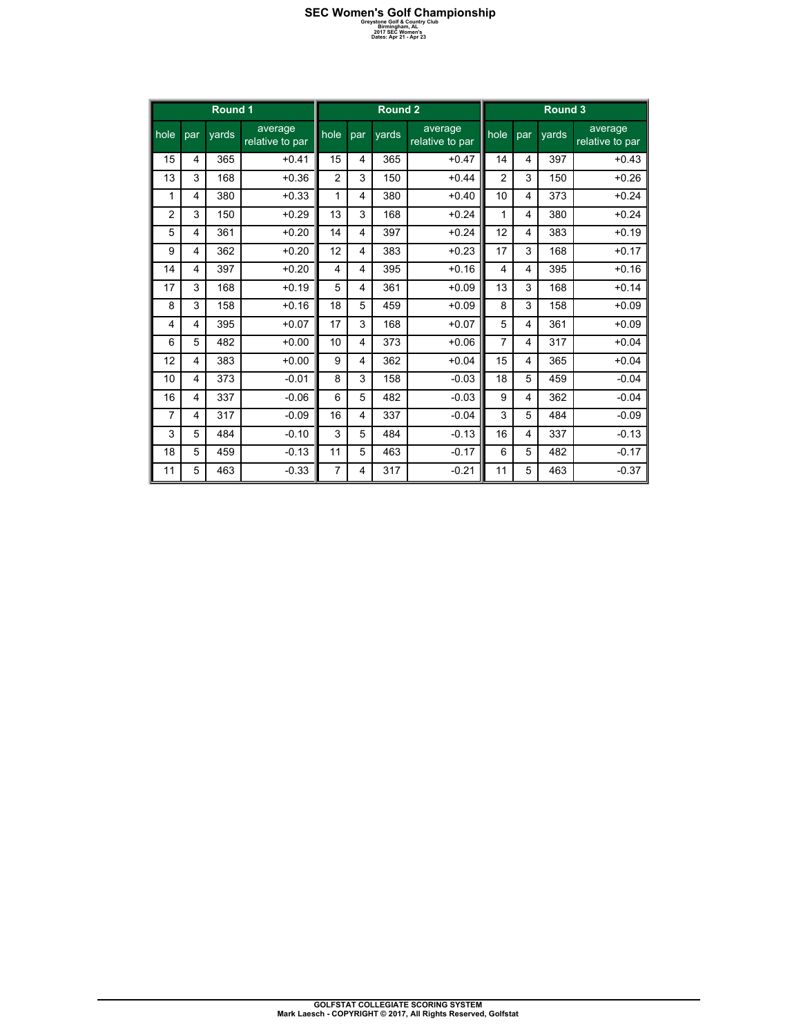### **SEC Women's Golf Championship**<br> **Greystone Golf & Country Club**<br> **2017 SEC Women's**<br> **Dates: Apr 21 - Apr 23**<br>
Dates: Apr 21 - Apr 23

|                |                         | Round 1 |                            |                |                | Round 2 |                            |                |                | Round 3 |                            |
|----------------|-------------------------|---------|----------------------------|----------------|----------------|---------|----------------------------|----------------|----------------|---------|----------------------------|
| l hole         | par                     | vards   | average<br>relative to par | hole           | par            | vards   | average<br>relative to par | hole           | par            | vards   | average<br>relative to par |
| 15             | 4                       | 365     | $+0.41$                    | 15             | $\overline{4}$ | 365     | $+0.47$                    | 14             | 4              | 397     | $+0.43$                    |
| 13             | 3                       | 168     | $+0.36$                    | $\overline{2}$ | 3              | 150     | $+0.44$                    | $\overline{2}$ | 3              | 150     | $+0.26$                    |
| 1              | 4                       | 380     | $+0.33$                    | 1              | 4              | 380     | $+0.40$                    | 10             | 4              | 373     | $+0.24$                    |
| $\overline{2}$ | 3                       | 150     | $+0.29$                    | 13             | 3              | 168     | $+0.24$                    | 1              | $\overline{4}$ | 380     | $+0.24$                    |
| 5              | 4                       | 361     | $+0.20$                    | 14             | $\overline{4}$ | 397     | $+0.24$                    | 12             | 4              | 383     | $+0.19$                    |
| 9              | 4                       | 362     | $+0.20$                    | 12             | 4              | 383     | $+0.23$                    | 17             | 3              | 168     | $+0.17$                    |
| 14             | 4                       | 397     | $+0.20$                    | 4              | 4              | 395     | $+0.16$                    | 4              | 4              | 395     | $+0.16$                    |
| 17             | 3                       | 168     | $+0.19$                    | 5              | $\overline{4}$ | 361     | $+0.09$                    | 13             | 3              | 168     | $+0.14$                    |
| 8              | 3                       | 158     | $+0.16$                    | 18             | 5              | 459     | $+0.09$                    | 8              | 3              | 158     | $+0.09$                    |
| 4              | 4                       | 395     | $+0.07$                    | 17             | 3              | 168     | $+0.07$                    | 5              | 4              | 361     | $+0.09$                    |
| 6              | 5                       | 482     | $+0.00$                    | 10             | 4              | 373     | $+0.06$                    | $\overline{7}$ | 4              | 317     | $+0.04$                    |
| 12             | 4                       | 383     | $+0.00$                    | 9              | 4              | 362     | $+0.04$                    | 15             | 4              | 365     | $+0.04$                    |
| 10             | 4                       | 373     | $-0.01$                    | 8              | 3              | 158     | $-0.03$                    | 18             | 5              | 459     | $-0.04$                    |
| 16             | $\overline{4}$          | 337     | $-0.06$                    | 6              | 5              | 482     | $-0.03$                    | 9              | 4              | 362     | $-0.04$                    |
| 7              | $\overline{\mathbf{4}}$ | 317     | $-0.09$                    | 16             | 4              | 337     | $-0.04$                    | 3              | 5              | 484     | $-0.09$                    |
| 3              | 5                       | 484     | $-0.10$                    | 3              | 5              | 484     | $-0.13$                    | 16             | 4              | 337     | $-0.13$                    |
| 18             | 5                       | 459     | $-0.13$                    | 11             | 5              | 463     | $-0.17$                    | 6              | 5              | 482     | $-0.17$                    |
| 11             | 5                       | 463     | $-0.33$                    | 7              | 4              | 317     | $-0.21$                    | 11             | 5              | 463     | $-0.37$                    |